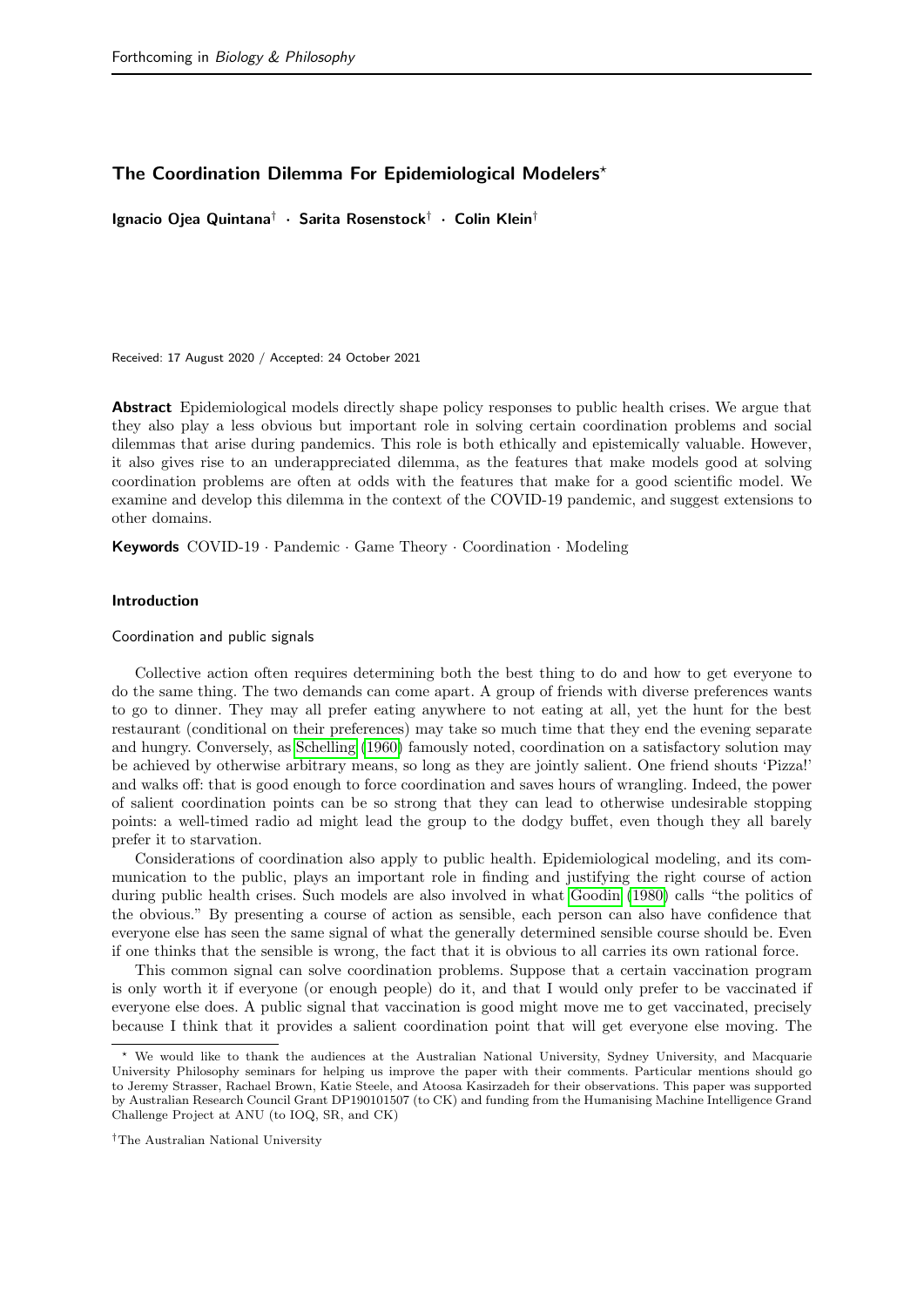# The Coordination Dilemma For Epidemiological Modelers<sup>\*</sup>

Ignacio Ojea Quintana† · Sarita Rosenstock† · Colin Klein†

Received: 17 August 2020 / Accepted: 24 October 2021

Abstract Epidemiological models directly shape policy responses to public health crises. We argue that they also play a less obvious but important role in solving certain coordination problems and social dilemmas that arise during pandemics. This role is both ethically and epistemically valuable. However, it also gives rise to an underappreciated dilemma, as the features that make models good at solving coordination problems are often at odds with the features that make for a good scientific model. We examine and develop this dilemma in the context of the COVID-19 pandemic, and suggest extensions to other domains.

Keywords COVID-19 · Pandemic · Game Theory · Coordination · Modeling

## Introduction

Coordination and public signals

Collective action often requires determining both the best thing to do and how to get everyone to do the same thing. The two demands can come apart. A group of friends with diverse preferences wants to go to dinner. They may all prefer eating anywhere to not eating at all, yet the hunt for the best restaurant (conditional on their preferences) may take so much time that they end the evening separate and hungry. Conversely, as [Schelling](#page-11-0) [\(1960\)](#page-11-0) famously noted, coordination on a satisfactory solution may be achieved by otherwise arbitrary means, so long as they are jointly salient. One friend shouts 'Pizza!' and walks off: that is good enough to force coordination and saves hours of wrangling. Indeed, the power of salient coordination points can be so strong that they can lead to otherwise undesirable stopping points: a well-timed radio ad might lead the group to the dodgy buffet, even though they all barely prefer it to starvation.

Considerations of coordination also apply to public health. Epidemiological modeling, and its communication to the public, plays an important role in finding and justifying the right course of action during public health crises. Such models are also involved in what [Goodin](#page-11-1) [\(1980\)](#page-11-1) calls "the politics of the obvious." By presenting a course of action as sensible, each person can also have confidence that everyone else has seen the same signal of what the generally determined sensible course should be. Even if one thinks that the sensible is wrong, the fact that it is obvious to all carries its own rational force.

This common signal can solve coordination problems. Suppose that a certain vaccination program is only worth it if everyone (or enough people) do it, and that I would only prefer to be vaccinated if everyone else does. A public signal that vaccination is good might move me to get vaccinated, precisely because I think that it provides a salient coordination point that will get everyone else moving. The

†The Australian National University

<sup>?</sup> We would like to thank the audiences at the Australian National University, Sydney University, and Macquarie University Philosophy seminars for helping us improve the paper with their comments. Particular mentions should go to Jeremy Strasser, Rachael Brown, Katie Steele, and Atoosa Kasirzadeh for their observations. This paper was supported by Australian Research Council Grant DP190101507 (to CK) and funding from the Humanising Machine Intelligence Grand Challenge Project at ANU (to IOQ, SR, and CK)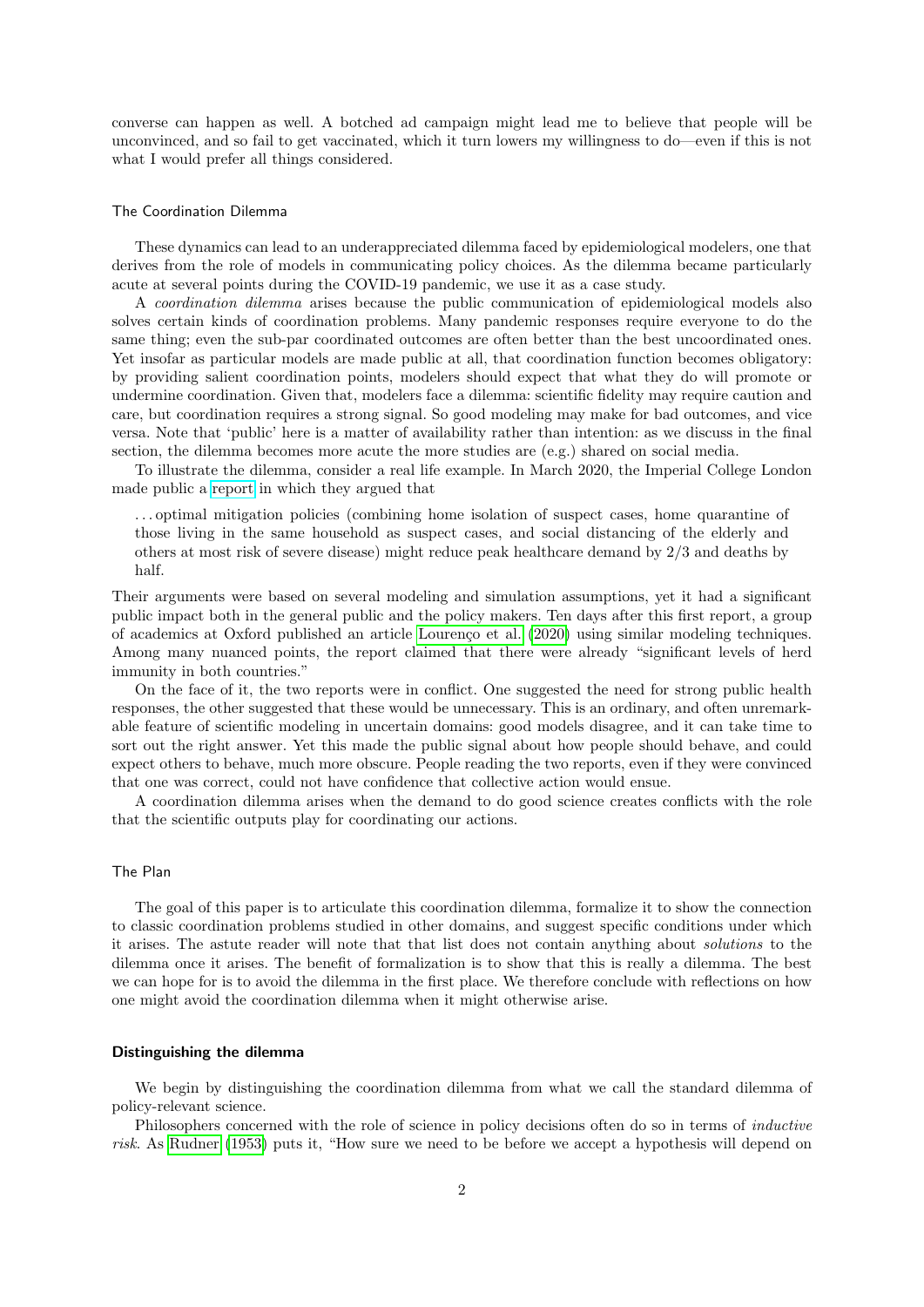converse can happen as well. A botched ad campaign might lead me to believe that people will be unconvinced, and so fail to get vaccinated, which it turn lowers my willingness to do—even if this is not what I would prefer all things considered.

#### The Coordination Dilemma

These dynamics can lead to an underappreciated dilemma faced by epidemiological modelers, one that derives from the role of models in communicating policy choices. As the dilemma became particularly acute at several points during the COVID-19 pandemic, we use it as a case study.

A coordination dilemma arises because the public communication of epidemiological models also solves certain kinds of coordination problems. Many pandemic responses require everyone to do the same thing; even the sub-par coordinated outcomes are often better than the best uncoordinated ones. Yet insofar as particular models are made public at all, that coordination function becomes obligatory: by providing salient coordination points, modelers should expect that what they do will promote or undermine coordination. Given that, modelers face a dilemma: scientific fidelity may require caution and care, but coordination requires a strong signal. So good modeling may make for bad outcomes, and vice versa. Note that 'public' here is a matter of availability rather than intention: as we discuss in the final section, the dilemma becomes more acute the more studies are (e.g.) shared on social media.

To illustrate the dilemma, consider a real life example. In March 2020, the Imperial College London made public a [report](https://www.imperial.ac.uk/mrc-global-infectious-disease-analysis/covid-19/report-9-impact-of-npis-on-covid-19/) in which they argued that

. . . optimal mitigation policies (combining home isolation of suspect cases, home quarantine of those living in the same household as suspect cases, and social distancing of the elderly and others at most risk of severe disease) might reduce peak healthcare demand by 2/3 and deaths by half.

Their arguments were based on several modeling and simulation assumptions, yet it had a significant public impact both in the general public and the policy makers. Ten days after this first report, a group of academics at Oxford published an article Lourenço et al. [\(2020\)](#page-11-2) using similar modeling techniques. Among many nuanced points, the report claimed that there were already "significant levels of herd immunity in both countries."

On the face of it, the two reports were in conflict. One suggested the need for strong public health responses, the other suggested that these would be unnecessary. This is an ordinary, and often unremarkable feature of scientific modeling in uncertain domains: good models disagree, and it can take time to sort out the right answer. Yet this made the public signal about how people should behave, and could expect others to behave, much more obscure. People reading the two reports, even if they were convinced that one was correct, could not have confidence that collective action would ensue.

A coordination dilemma arises when the demand to do good science creates conflicts with the role that the scientific outputs play for coordinating our actions.

### The Plan

The goal of this paper is to articulate this coordination dilemma, formalize it to show the connection to classic coordination problems studied in other domains, and suggest specific conditions under which it arises. The astute reader will note that that list does not contain anything about solutions to the dilemma once it arises. The benefit of formalization is to show that this is really a dilemma. The best we can hope for is to avoid the dilemma in the first place. We therefore conclude with reflections on how one might avoid the coordination dilemma when it might otherwise arise.

## Distinguishing the dilemma

We begin by distinguishing the coordination dilemma from what we call the standard dilemma of policy-relevant science.

Philosophers concerned with the role of science in policy decisions often do so in terms of inductive risk. As [Rudner](#page-11-3) [\(1953\)](#page-11-3) puts it, "How sure we need to be before we accept a hypothesis will depend on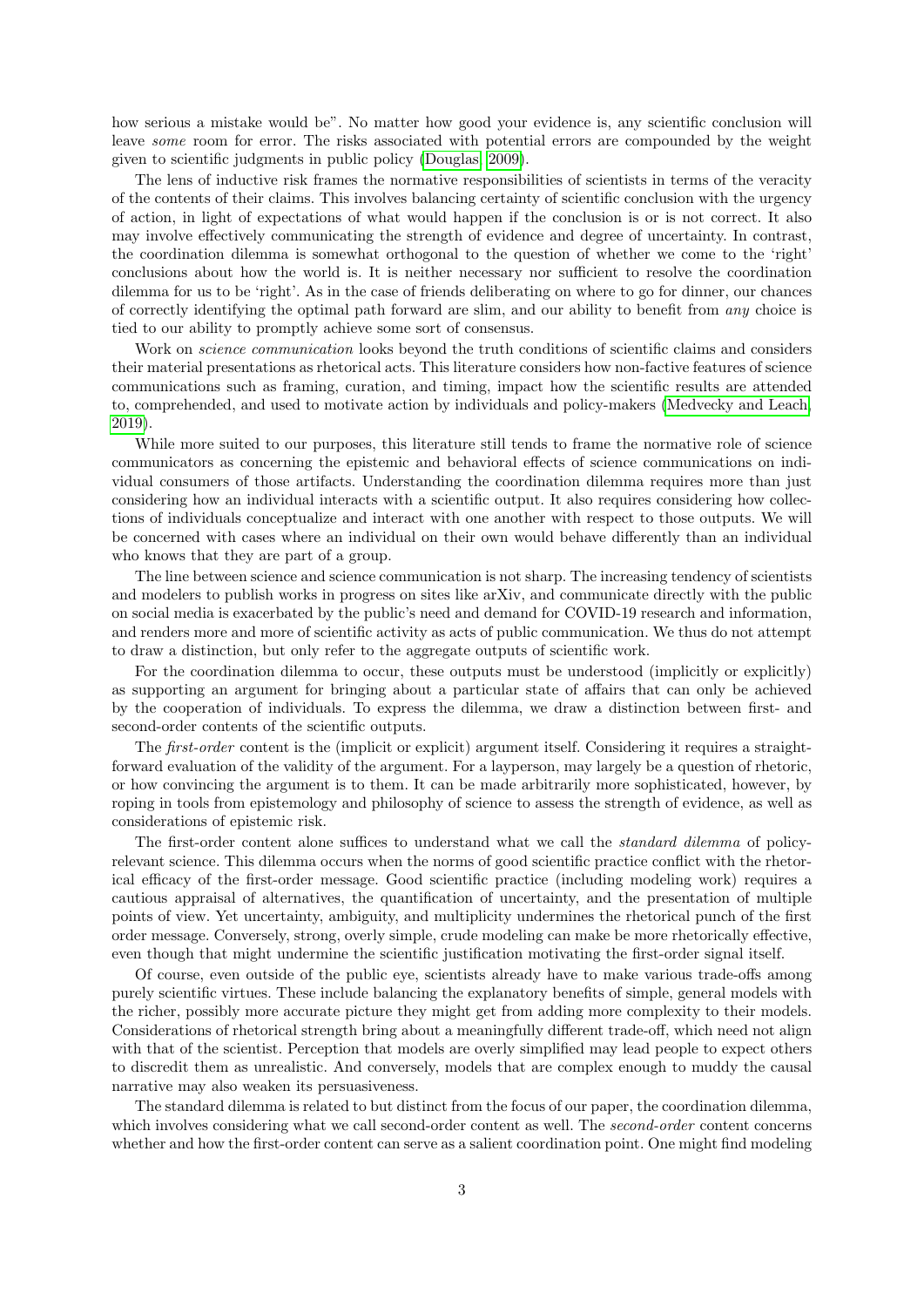how serious a mistake would be". No matter how good your evidence is, any scientific conclusion will leave *some* room for error. The risks associated with potential errors are compounded by the weight given to scientific judgments in public policy [\(Douglas, 2009\)](#page-11-4).

The lens of inductive risk frames the normative responsibilities of scientists in terms of the veracity of the contents of their claims. This involves balancing certainty of scientific conclusion with the urgency of action, in light of expectations of what would happen if the conclusion is or is not correct. It also may involve effectively communicating the strength of evidence and degree of uncertainty. In contrast, the coordination dilemma is somewhat orthogonal to the question of whether we come to the 'right' conclusions about how the world is. It is neither necessary nor sufficient to resolve the coordination dilemma for us to be 'right'. As in the case of friends deliberating on where to go for dinner, our chances of correctly identifying the optimal path forward are slim, and our ability to benefit from any choice is tied to our ability to promptly achieve some sort of consensus.

Work on *science communication* looks beyond the truth conditions of scientific claims and considers their material presentations as rhetorical acts. This literature considers how non-factive features of science communications such as framing, curation, and timing, impact how the scientific results are attended to, comprehended, and used to motivate action by individuals and policy-makers [\(Medvecky and Leach,](#page-11-5) [2019\)](#page-11-5).

While more suited to our purposes, this literature still tends to frame the normative role of science communicators as concerning the epistemic and behavioral effects of science communications on individual consumers of those artifacts. Understanding the coordination dilemma requires more than just considering how an individual interacts with a scientific output. It also requires considering how collections of individuals conceptualize and interact with one another with respect to those outputs. We will be concerned with cases where an individual on their own would behave differently than an individual who knows that they are part of a group.

The line between science and science communication is not sharp. The increasing tendency of scientists and modelers to publish works in progress on sites like arXiv, and communicate directly with the public on social media is exacerbated by the public's need and demand for COVID-19 research and information, and renders more and more of scientific activity as acts of public communication. We thus do not attempt to draw a distinction, but only refer to the aggregate outputs of scientific work.

For the coordination dilemma to occur, these outputs must be understood (implicitly or explicitly) as supporting an argument for bringing about a particular state of affairs that can only be achieved by the cooperation of individuals. To express the dilemma, we draw a distinction between first- and second-order contents of the scientific outputs.

The first-order content is the (implicit or explicit) argument itself. Considering it requires a straightforward evaluation of the validity of the argument. For a layperson, may largely be a question of rhetoric, or how convincing the argument is to them. It can be made arbitrarily more sophisticated, however, by roping in tools from epistemology and philosophy of science to assess the strength of evidence, as well as considerations of epistemic risk.

The first-order content alone suffices to understand what we call the *standard dilemma* of policyrelevant science. This dilemma occurs when the norms of good scientific practice conflict with the rhetorical efficacy of the first-order message. Good scientific practice (including modeling work) requires a cautious appraisal of alternatives, the quantification of uncertainty, and the presentation of multiple points of view. Yet uncertainty, ambiguity, and multiplicity undermines the rhetorical punch of the first order message. Conversely, strong, overly simple, crude modeling can make be more rhetorically effective, even though that might undermine the scientific justification motivating the first-order signal itself.

Of course, even outside of the public eye, scientists already have to make various trade-offs among purely scientific virtues. These include balancing the explanatory benefits of simple, general models with the richer, possibly more accurate picture they might get from adding more complexity to their models. Considerations of rhetorical strength bring about a meaningfully different trade-off, which need not align with that of the scientist. Perception that models are overly simplified may lead people to expect others to discredit them as unrealistic. And conversely, models that are complex enough to muddy the causal narrative may also weaken its persuasiveness.

The standard dilemma is related to but distinct from the focus of our paper, the coordination dilemma, which involves considering what we call second-order content as well. The *second-order* content concerns whether and how the first-order content can serve as a salient coordination point. One might find modeling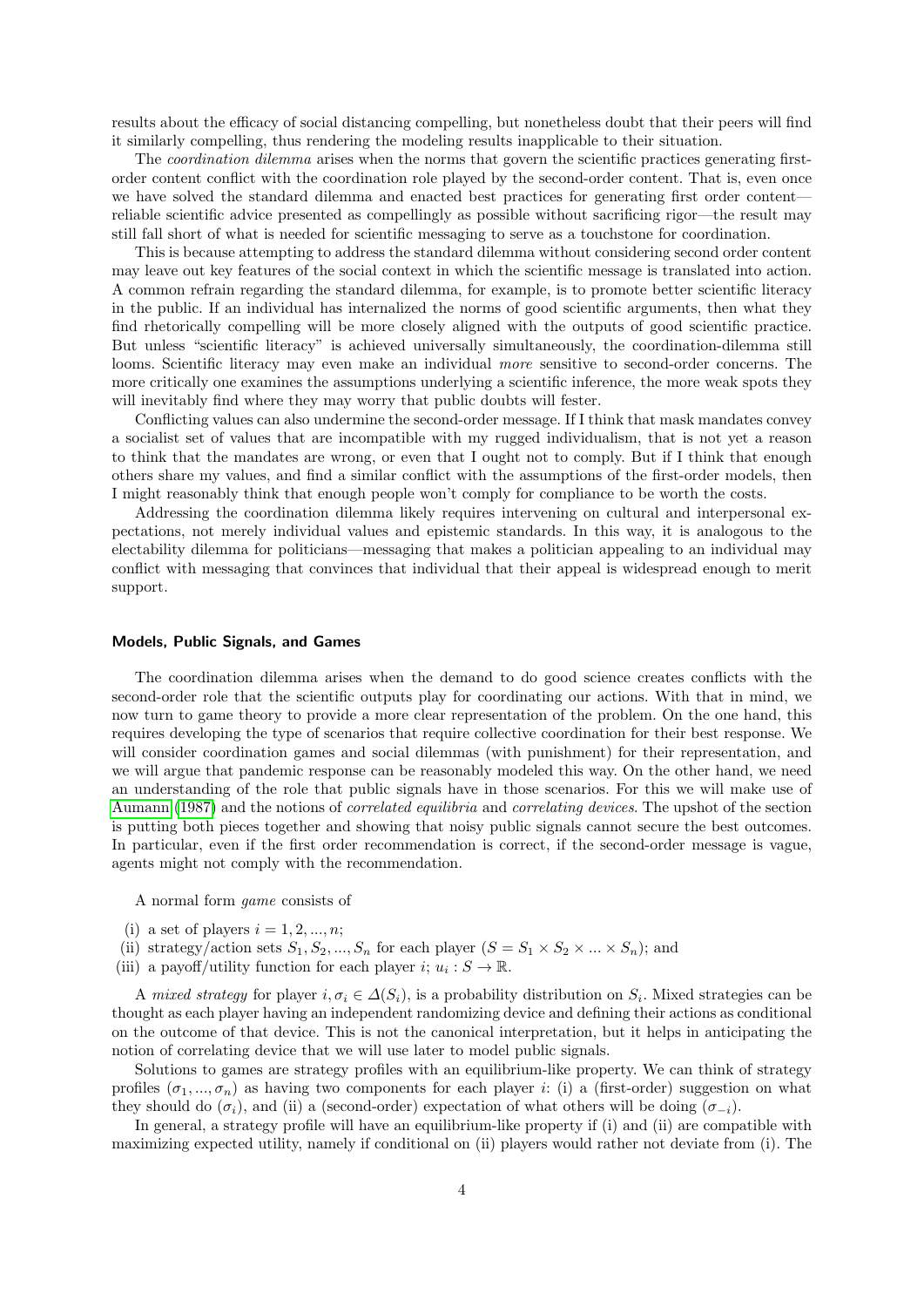results about the efficacy of social distancing compelling, but nonetheless doubt that their peers will find it similarly compelling, thus rendering the modeling results inapplicable to their situation.

The *coordination dilemma* arises when the norms that govern the scientific practices generating firstorder content conflict with the coordination role played by the second-order content. That is, even once we have solved the standard dilemma and enacted best practices for generating first order content reliable scientific advice presented as compellingly as possible without sacrificing rigor—the result may still fall short of what is needed for scientific messaging to serve as a touchstone for coordination.

This is because attempting to address the standard dilemma without considering second order content may leave out key features of the social context in which the scientific message is translated into action. A common refrain regarding the standard dilemma, for example, is to promote better scientific literacy in the public. If an individual has internalized the norms of good scientific arguments, then what they find rhetorically compelling will be more closely aligned with the outputs of good scientific practice. But unless "scientific literacy" is achieved universally simultaneously, the coordination-dilemma still looms. Scientific literacy may even make an individual more sensitive to second-order concerns. The more critically one examines the assumptions underlying a scientific inference, the more weak spots they will inevitably find where they may worry that public doubts will fester.

Conflicting values can also undermine the second-order message. If I think that mask mandates convey a socialist set of values that are incompatible with my rugged individualism, that is not yet a reason to think that the mandates are wrong, or even that I ought not to comply. But if I think that enough others share my values, and find a similar conflict with the assumptions of the first-order models, then I might reasonably think that enough people won't comply for compliance to be worth the costs.

Addressing the coordination dilemma likely requires intervening on cultural and interpersonal expectations, not merely individual values and epistemic standards. In this way, it is analogous to the electability dilemma for politicians—messaging that makes a politician appealing to an individual may conflict with messaging that convinces that individual that their appeal is widespread enough to merit support.

#### Models, Public Signals, and Games

The coordination dilemma arises when the demand to do good science creates conflicts with the second-order role that the scientific outputs play for coordinating our actions. With that in mind, we now turn to game theory to provide a more clear representation of the problem. On the one hand, this requires developing the type of scenarios that require collective coordination for their best response. We will consider coordination games and social dilemmas (with punishment) for their representation, and we will argue that pandemic response can be reasonably modeled this way. On the other hand, we need an understanding of the role that public signals have in those scenarios. For this we will make use of [Aumann](#page-11-6) [\(1987\)](#page-11-6) and the notions of correlated equilibria and correlating devices. The upshot of the section is putting both pieces together and showing that noisy public signals cannot secure the best outcomes. In particular, even if the first order recommendation is correct, if the second-order message is vague, agents might not comply with the recommendation.

A normal form game consists of

- (i) a set of players  $i = 1, 2, ..., n$ ;
- (ii) strategy/action sets  $S_1, S_2, ..., S_n$  for each player  $(S = S_1 \times S_2 \times ... \times S_n)$ ; and
- (iii) a payoff/utility function for each player  $i; u_i : S \to \mathbb{R}$ .

A mixed strategy for player  $i, \sigma_i \in \Delta(S_i)$ , is a probability distribution on  $S_i$ . Mixed strategies can be thought as each player having an independent randomizing device and defining their actions as conditional on the outcome of that device. This is not the canonical interpretation, but it helps in anticipating the notion of correlating device that we will use later to model public signals.

Solutions to games are strategy profiles with an equilibrium-like property. We can think of strategy profiles  $(\sigma_1, ..., \sigma_n)$  as having two components for each player i: (i) a (first-order) suggestion on what they should do ( $\sigma_i$ ), and (ii) a (second-order) expectation of what others will be doing ( $\sigma_{-i}$ ).

In general, a strategy profile will have an equilibrium-like property if (i) and (ii) are compatible with maximizing expected utility, namely if conditional on (ii) players would rather not deviate from (i). The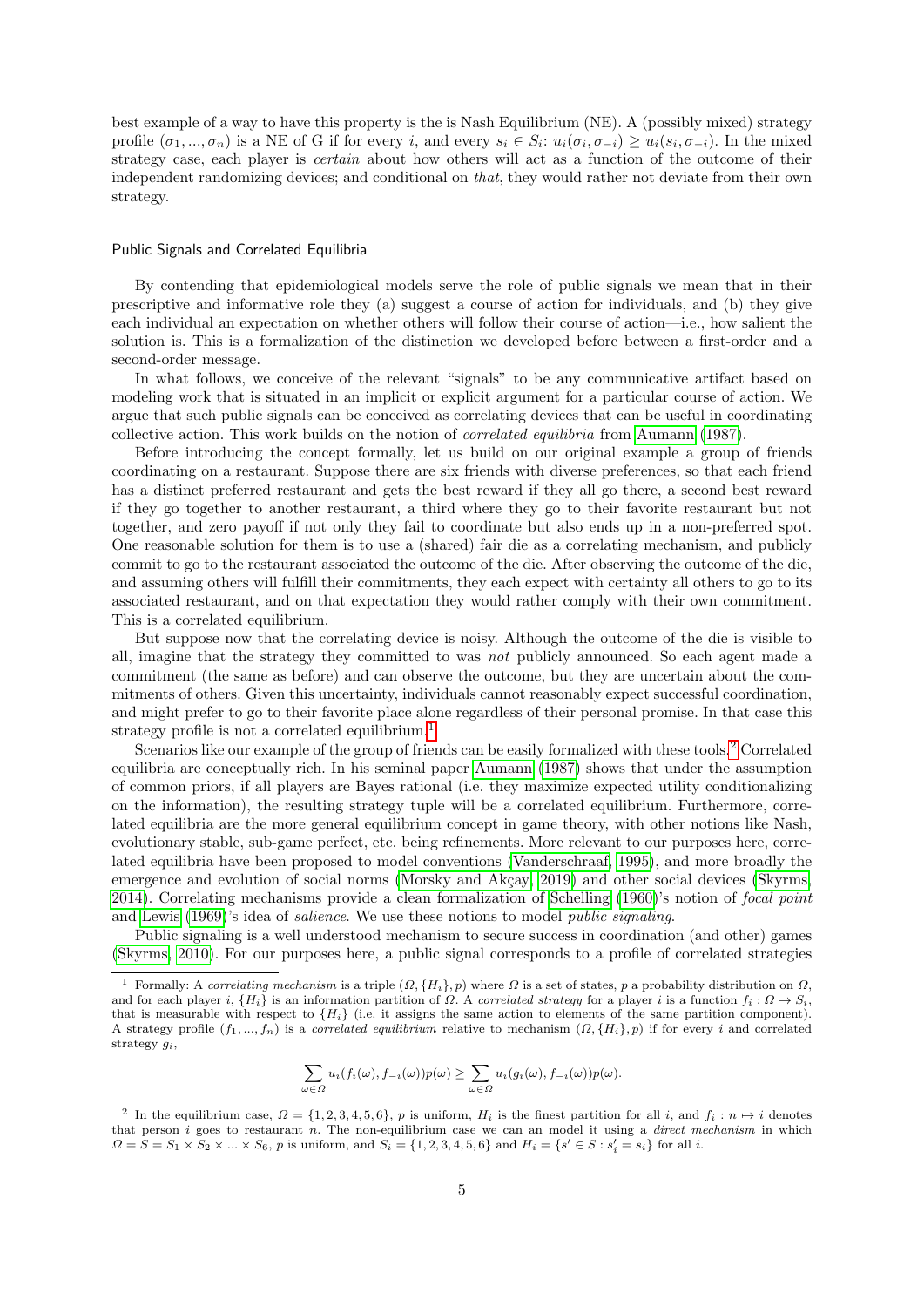best example of a way to have this property is the is Nash Equilibrium (NE). A (possibly mixed) strategy profile  $(\sigma_1, ..., \sigma_n)$  is a NE of G if for every i, and every  $s_i \in S_i$ :  $u_i(\sigma_i, \sigma_{-i}) \geq u_i(s_i, \sigma_{-i})$ . In the mixed strategy case, each player is *certain* about how others will act as a function of the outcome of their independent randomizing devices; and conditional on that, they would rather not deviate from their own strategy.

### Public Signals and Correlated Equilibria

By contending that epidemiological models serve the role of public signals we mean that in their prescriptive and informative role they (a) suggest a course of action for individuals, and (b) they give each individual an expectation on whether others will follow their course of action—i.e., how salient the solution is. This is a formalization of the distinction we developed before between a first-order and a second-order message.

In what follows, we conceive of the relevant "signals" to be any communicative artifact based on modeling work that is situated in an implicit or explicit argument for a particular course of action. We argue that such public signals can be conceived as correlating devices that can be useful in coordinating collective action. This work builds on the notion of correlated equilibria from [Aumann](#page-11-6) [\(1987\)](#page-11-6).

Before introducing the concept formally, let us build on our original example a group of friends coordinating on a restaurant. Suppose there are six friends with diverse preferences, so that each friend has a distinct preferred restaurant and gets the best reward if they all go there, a second best reward if they go together to another restaurant, a third where they go to their favorite restaurant but not together, and zero payoff if not only they fail to coordinate but also ends up in a non-preferred spot. One reasonable solution for them is to use a (shared) fair die as a correlating mechanism, and publicly commit to go to the restaurant associated the outcome of the die. After observing the outcome of the die, and assuming others will fulfill their commitments, they each expect with certainty all others to go to its associated restaurant, and on that expectation they would rather comply with their own commitment. This is a correlated equilibrium.

But suppose now that the correlating device is noisy. Although the outcome of the die is visible to all, imagine that the strategy they committed to was not publicly announced. So each agent made a commitment (the same as before) and can observe the outcome, but they are uncertain about the commitments of others. Given this uncertainty, individuals cannot reasonably expect successful coordination, and might prefer to go to their favorite place alone regardless of their personal promise. In that case this strategy profile is not a correlated equilibrium.<sup>[1](#page-4-0)</sup>

Scenarios like our example of the group of friends can be easily formalized with these tools.<sup>[2](#page-4-1)</sup> Correlated equilibria are conceptually rich. In his seminal paper [Aumann](#page-11-6) [\(1987\)](#page-11-6) shows that under the assumption of common priors, if all players are Bayes rational (i.e. they maximize expected utility conditionalizing on the information), the resulting strategy tuple will be a correlated equilibrium. Furthermore, correlated equilibria are the more general equilibrium concept in game theory, with other notions like Nash, evolutionary stable, sub-game perfect, etc. being refinements. More relevant to our purposes here, correlated equilibria have been proposed to model conventions [\(Vanderschraaf, 1995\)](#page-11-7), and more broadly the emergence and evolution of social norms (Morsky and Akcay, 2019) and other social devices [\(Skyrms,](#page-11-9) [2014\)](#page-11-9). Correlating mechanisms provide a clean formalization of [Schelling](#page-11-0) [\(1960\)](#page-11-0)'s notion of focal point and [Lewis](#page-11-10) [\(1969\)](#page-11-10)'s idea of salience. We use these notions to model public signaling.

Public signaling is a well understood mechanism to secure success in coordination (and other) games [\(Skyrms, 2010\)](#page-11-11). For our purposes here, a public signal corresponds to a profile of correlated strategies

$$
\sum_{\omega \in \Omega} u_i(f_i(\omega), f_{-i}(\omega))p(\omega) \ge \sum_{\omega \in \Omega} u_i(g_i(\omega), f_{-i}(\omega))p(\omega).
$$

<span id="page-4-0"></span>Formally: A correlating mechanism is a triple  $(\Omega, \{H_i\}, p)$  where  $\Omega$  is a set of states, p a probability distribution on  $\Omega$ , and for each player i,  $\{H_i\}$  is an information partition of  $\Omega$ . A correlated strategy for a player i is a function  $f_i: \Omega \to S_i$ , that is measurable with respect to  $\{H_i\}$  (i.e. it assigns the same action to elements of the same partition component). A strategy profile  $(f_1, ..., f_n)$  is a *correlated equilibrium* relative to mechanism  $(\Omega, \{H_i\}, p)$  if for every i and correlated strategy  $g_i$ ,

<span id="page-4-1"></span><sup>&</sup>lt;sup>2</sup> In the equilibrium case,  $\Omega = \{1, 2, 3, 4, 5, 6\}$ , p is uniform,  $H_i$  is the finest partition for all i, and  $f_i : n \mapsto i$  denotes that person  $i$  goes to restaurant n. The non-equilibrium case we can an model it using a *direct mechanism* in which  $\Omega = S = S_1 \times S_2 \times ... \times S_6$ , p is uniform, and  $S_i = \{1, 2, 3, 4, 5, 6\}$  and  $H_i = \{s' \in S : s'_i = s_i\}$  for all i.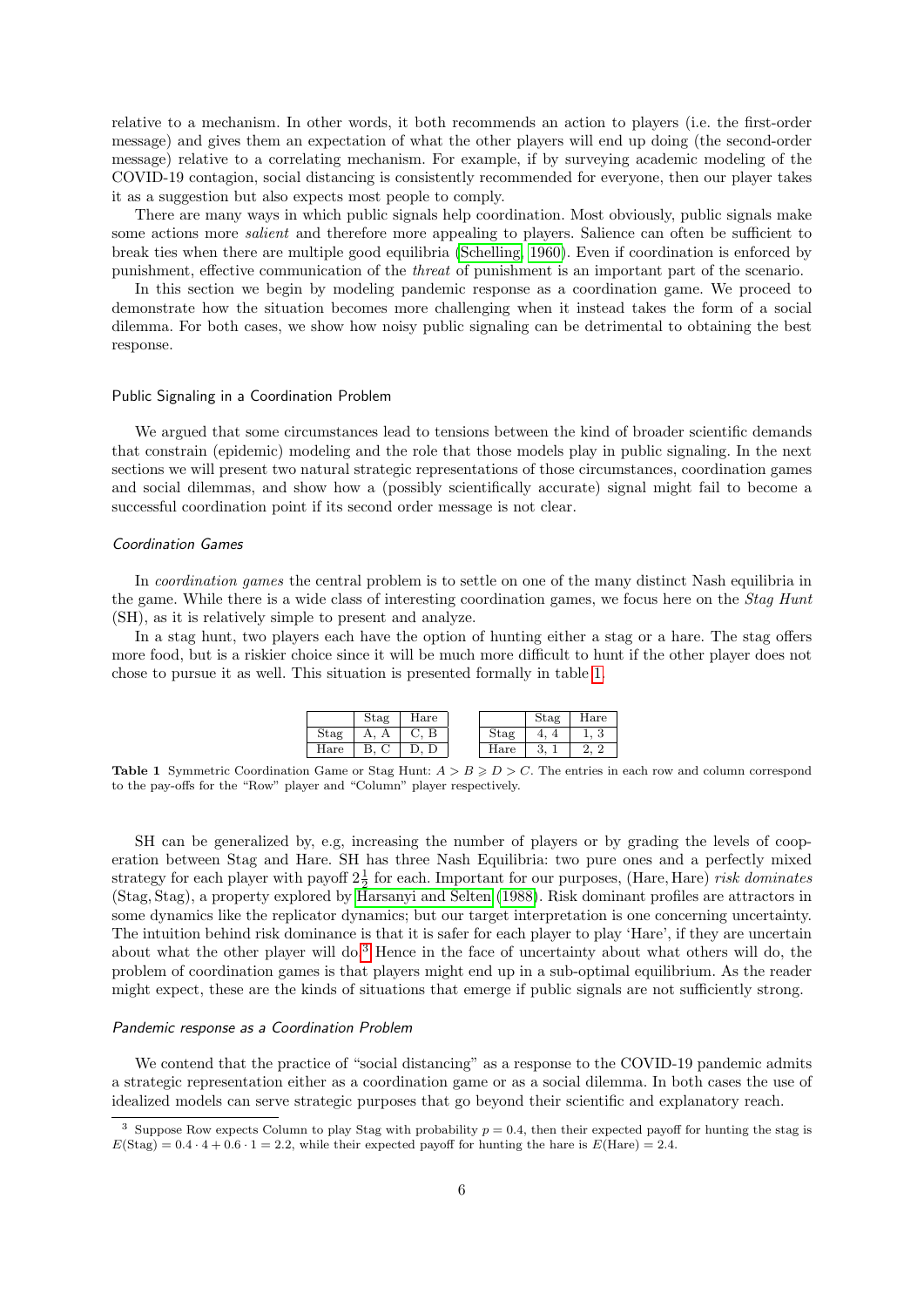relative to a mechanism. In other words, it both recommends an action to players (i.e. the first-order message) and gives them an expectation of what the other players will end up doing (the second-order message) relative to a correlating mechanism. For example, if by surveying academic modeling of the COVID-19 contagion, social distancing is consistently recommended for everyone, then our player takes it as a suggestion but also expects most people to comply.

There are many ways in which public signals help coordination. Most obviously, public signals make some actions more *salient* and therefore more appealing to players. Salience can often be sufficient to break ties when there are multiple good equilibria [\(Schelling, 1960\)](#page-11-0). Even if coordination is enforced by punishment, effective communication of the threat of punishment is an important part of the scenario.

In this section we begin by modeling pandemic response as a coordination game. We proceed to demonstrate how the situation becomes more challenging when it instead takes the form of a social dilemma. For both cases, we show how noisy public signaling can be detrimental to obtaining the best response.

#### Public Signaling in a Coordination Problem

We argued that some circumstances lead to tensions between the kind of broader scientific demands that constrain (epidemic) modeling and the role that those models play in public signaling. In the next sections we will present two natural strategic representations of those circumstances, coordination games and social dilemmas, and show how a (possibly scientifically accurate) signal might fail to become a successful coordination point if its second order message is not clear.

## Coordination Games

In *coordination games* the central problem is to settle on one of the many distinct Nash equilibria in the game. While there is a wide class of interesting coordination games, we focus here on the Stag Hunt (SH), as it is relatively simple to present and analyze.

In a stag hunt, two players each have the option of hunting either a stag or a hare. The stag offers more food, but is a riskier choice since it will be much more difficult to hunt if the other player does not chose to pursue it as well. This situation is presented formally in table [1.](#page-5-0)

|                       | Stag | Hare |             | Stag   | Hare |
|-----------------------|------|------|-------------|--------|------|
| $_{\rm Stag}$         |      | D    | Stag        |        | ಲ    |
| $\operatorname{Hare}$ |      |      | $\rm H$ are | ∍<br>ಀ |      |

<span id="page-5-0"></span>**Table 1** Symmetric Coordination Game or Stag Hunt:  $A > B \ge D > C$ . The entries in each row and column correspond to the pay-offs for the "Row" player and "Column" player respectively.

SH can be generalized by, e.g, increasing the number of players or by grading the levels of cooperation between Stag and Hare. SH has three Nash Equilibria: two pure ones and a perfectly mixed strategy for each player with payoff  $2\frac{1}{2}$  for each. Important for our purposes, (Hare, Hare) risk dominates (Stag, Stag), a property explored by [Harsanyi and Selten](#page-11-12) [\(1988\)](#page-11-12). Risk dominant profiles are attractors in some dynamics like the replicator dynamics; but our target interpretation is one concerning uncertainty. The intuition behind risk dominance is that it is safer for each player to play 'Hare', if they are uncertain about what the other player will do.[3](#page-5-1) Hence in the face of uncertainty about what others will do, the problem of coordination games is that players might end up in a sub-optimal equilibrium. As the reader might expect, these are the kinds of situations that emerge if public signals are not sufficiently strong.

#### Pandemic response as a Coordination Problem

We contend that the practice of "social distancing" as a response to the COVID-19 pandemic admits a strategic representation either as a coordination game or as a social dilemma. In both cases the use of idealized models can serve strategic purposes that go beyond their scientific and explanatory reach.

<span id="page-5-1"></span><sup>&</sup>lt;sup>3</sup> Suppose Row expects Column to play Stag with probability  $p = 0.4$ , then their expected payoff for hunting the stag is  $E(\text{Stag}) = 0.4 \cdot 4 + 0.6 \cdot 1 = 2.2$ , while their expected payoff for hunting the hare is  $E(\text{Hare}) = 2.4$ .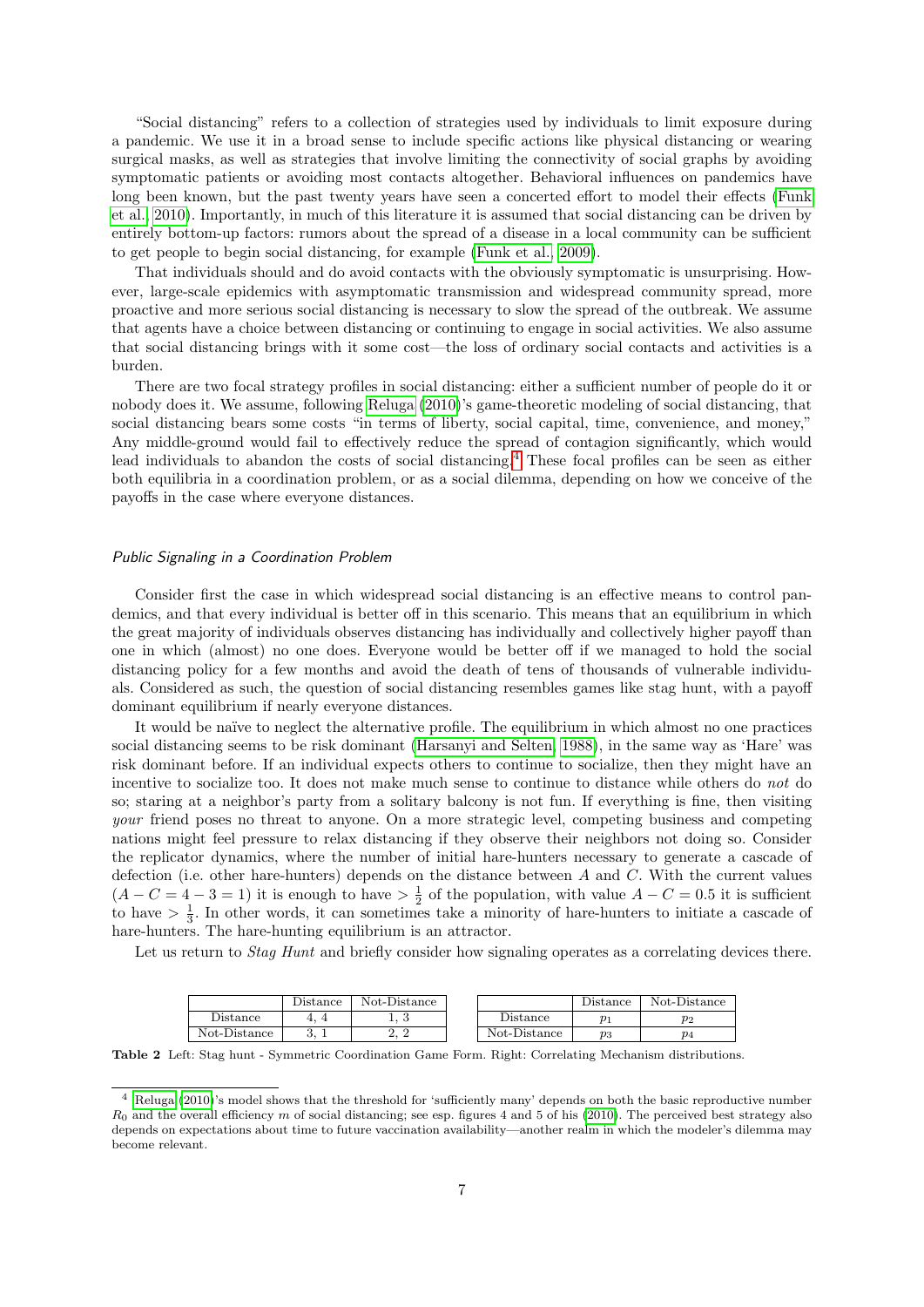"Social distancing" refers to a collection of strategies used by individuals to limit exposure during a pandemic. We use it in a broad sense to include specific actions like physical distancing or wearing surgical masks, as well as strategies that involve limiting the connectivity of social graphs by avoiding symptomatic patients or avoiding most contacts altogether. Behavioral influences on pandemics have long been known, but the past twenty years have seen a concerted effort to model their effects [\(Funk](#page-11-13) [et al., 2010\)](#page-11-13). Importantly, in much of this literature it is assumed that social distancing can be driven by entirely bottom-up factors: rumors about the spread of a disease in a local community can be sufficient to get people to begin social distancing, for example [\(Funk et al., 2009\)](#page-11-14).

That individuals should and do avoid contacts with the obviously symptomatic is unsurprising. However, large-scale epidemics with asymptomatic transmission and widespread community spread, more proactive and more serious social distancing is necessary to slow the spread of the outbreak. We assume that agents have a choice between distancing or continuing to engage in social activities. We also assume that social distancing brings with it some cost—the loss of ordinary social contacts and activities is a burden.

There are two focal strategy profiles in social distancing: either a sufficient number of people do it or nobody does it. We assume, following [Reluga](#page-11-15) [\(2010\)](#page-11-15)'s game-theoretic modeling of social distancing, that social distancing bears some costs "in terms of liberty, social capital, time, convenience, and money," Any middle-ground would fail to effectively reduce the spread of contagion significantly, which would lead individuals to abandon the costs of social distancing.[4](#page-6-0) These focal profiles can be seen as either both equilibria in a coordination problem, or as a social dilemma, depending on how we conceive of the payoffs in the case where everyone distances.

### Public Signaling in a Coordination Problem

Consider first the case in which widespread social distancing is an effective means to control pandemics, and that every individual is better off in this scenario. This means that an equilibrium in which the great majority of individuals observes distancing has individually and collectively higher payoff than one in which (almost) no one does. Everyone would be better off if we managed to hold the social distancing policy for a few months and avoid the death of tens of thousands of vulnerable individuals. Considered as such, the question of social distancing resembles games like stag hunt, with a payoff dominant equilibrium if nearly everyone distances.

It would be naïve to neglect the alternative profile. The equilibrium in which almost no one practices social distancing seems to be risk dominant [\(Harsanyi and Selten, 1988\)](#page-11-12), in the same way as 'Hare' was risk dominant before. If an individual expects others to continue to socialize, then they might have an incentive to socialize too. It does not make much sense to continue to distance while others do not do so; staring at a neighbor's party from a solitary balcony is not fun. If everything is fine, then visiting your friend poses no threat to anyone. On a more strategic level, competing business and competing nations might feel pressure to relax distancing if they observe their neighbors not doing so. Consider the replicator dynamics, where the number of initial hare-hunters necessary to generate a cascade of defection (i.e. other hare-hunters) depends on the distance between A and C. With the current values  $(A - C = 4 - 3 = 1)$  it is enough to have  $> \frac{1}{2}$  of the population, with value  $A - C = 0.5$  it is sufficient to have  $> \frac{1}{3}$ . In other words, it can sometimes take a minority of hare-hunters to initiate a cascade of hare-hunters. The hare-hunting equilibrium is an attractor.

Let us return to *Stag Hunt* and briefly consider how signaling operates as a correlating devices there.

<span id="page-6-1"></span>

|              | $\mathcal{L}$ istance | Not-Distance |              | Distance | Not-Distance |
|--------------|-----------------------|--------------|--------------|----------|--------------|
| Distance     |                       | ⊥. ⊍         | Distance     | $n_{1}$  | $p_2$        |
| Not-Distance |                       | - 67         | Not-Distance | $p_3$    | $p_4$        |

Table 2 Left: Stag hunt - Symmetric Coordination Game Form. Right: Correlating Mechanism distributions.

<span id="page-6-0"></span><sup>4</sup> [Reluga](#page-11-15) [\(2010\)](#page-11-15)'s model shows that the threshold for 'sufficiently many' depends on both the basic reproductive number  $R_0$  and the overall efficiency m of social distancing; see esp. figures 4 and 5 of his [\(2010\)](#page-11-15). The perceived best strategy also depends on expectations about time to future vaccination availability—another realm in which the modeler's dilemma may become relevant.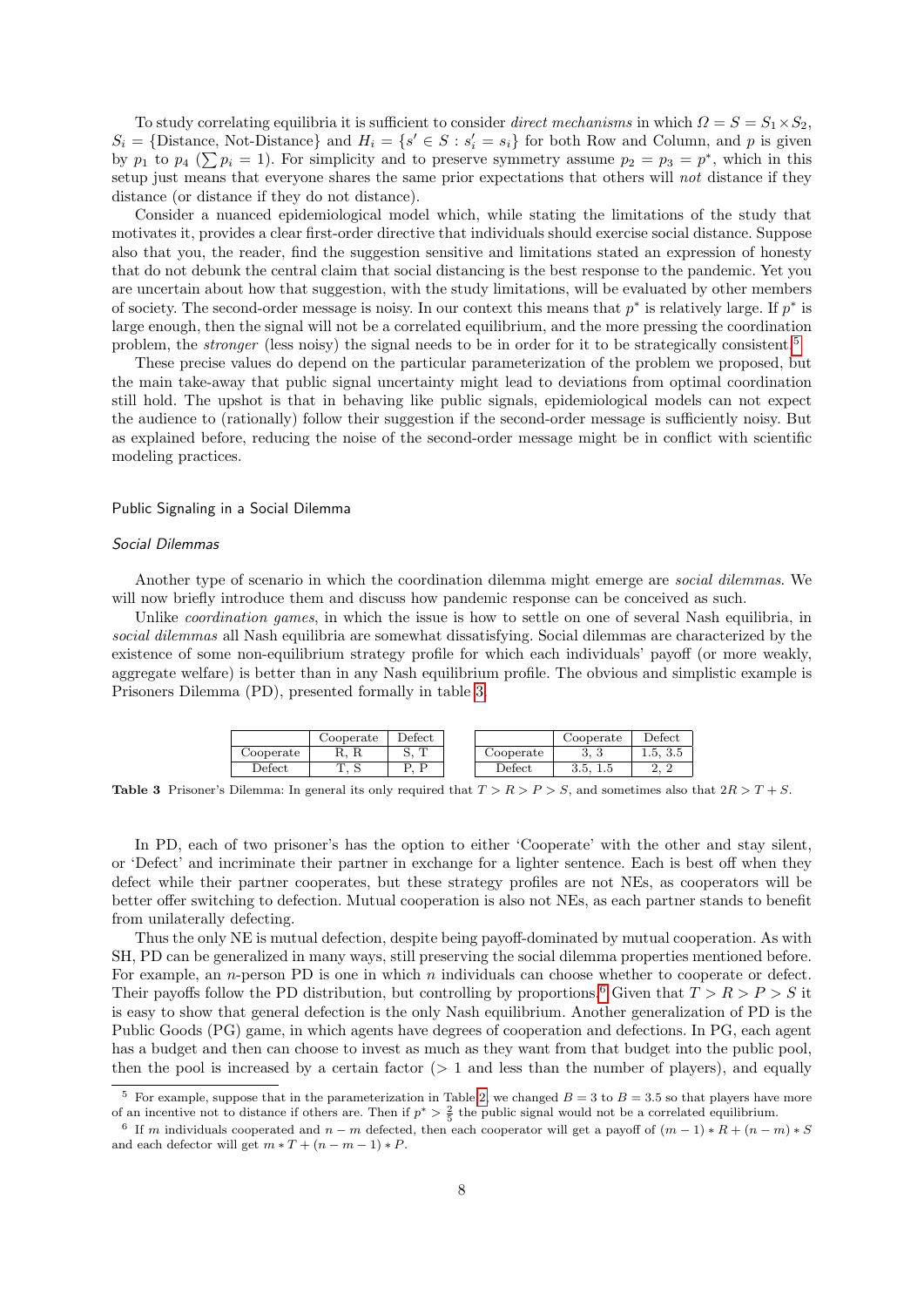To study correlating equilibria it is sufficient to consider direct mechanisms in which  $\Omega = S = S_1 \times S_2$ ,  $S_i = \{\text{Distance}, \text{Not-Distance}\}\$ and  $H_i = \{s' \in S : s'_i = s_i\}$  for both Row and Column, and p is given by  $p_1$  to  $p_4$  ( $\sum p_i = 1$ ). For simplicity and to preserve symmetry assume  $p_2 = p_3 = p^*$ , which in this setup just means that everyone shares the same prior expectations that others will not distance if they distance (or distance if they do not distance).

Consider a nuanced epidemiological model which, while stating the limitations of the study that motivates it, provides a clear first-order directive that individuals should exercise social distance. Suppose also that you, the reader, find the suggestion sensitive and limitations stated an expression of honesty that do not debunk the central claim that social distancing is the best response to the pandemic. Yet you are uncertain about how that suggestion, with the study limitations, will be evaluated by other members of society. The second-order message is noisy. In our context this means that  $p^*$  is relatively large. If  $p^*$  is large enough, then the signal will not be a correlated equilibrium, and the more pressing the coordination problem, the *stronger* (less noisy) the signal needs to be in order for it to be strategically consistent.<sup>[5](#page-7-0)</sup>

These precise values do depend on the particular parameterization of the problem we proposed, but the main take-away that public signal uncertainty might lead to deviations from optimal coordination still hold. The upshot is that in behaving like public signals, epidemiological models can not expect the audience to (rationally) follow their suggestion if the second-order message is sufficiently noisy. But as explained before, reducing the noise of the second-order message might be in conflict with scientific modeling practices.

### Public Signaling in a Social Dilemma

### Social Dilemmas

Another type of scenario in which the coordination dilemma might emerge are *social dilemmas*. We will now briefly introduce them and discuss how pandemic response can be conceived as such.

Unlike *coordination games*, in which the issue is how to settle on one of several Nash equilibria, in social dilemmas all Nash equilibria are somewhat dissatisfying. Social dilemmas are characterized by the existence of some non-equilibrium strategy profile for which each individuals' payoff (or more weakly, aggregate welfare) is better than in any Nash equilibrium profile. The obvious and simplistic example is Prisoners Dilemma (PD), presented formally in table [3.](#page-7-1)

|              | Cooperate | $\operatorname{Defect}$ |                   | Cooperate                 | $\rm Defect$ |
|--------------|-----------|-------------------------|-------------------|---------------------------|--------------|
| Cooperate    | 11, 11    |                         | Cooperate         | $\upsilon$ , $\upsilon$   | 1.5, 3.5     |
| $\rm Defect$ | ں ،       | D<br>D                  | $\mathrm{Defect}$ | J.J.<br>$\pm \cdot \cdot$ | $\Omega$     |

<span id="page-7-1"></span>**Table 3** Prisoner's Dilemma: In general its only required that  $T > R > P > S$ , and sometimes also that  $2R > T + S$ .

In PD, each of two prisoner's has the option to either 'Cooperate' with the other and stay silent, or 'Defect' and incriminate their partner in exchange for a lighter sentence. Each is best off when they defect while their partner cooperates, but these strategy profiles are not NEs, as cooperators will be better offer switching to defection. Mutual cooperation is also not NEs, as each partner stands to benefit from unilaterally defecting.

Thus the only NE is mutual defection, despite being payoff-dominated by mutual cooperation. As with SH, PD can be generalized in many ways, still preserving the social dilemma properties mentioned before. For example, an *n*-person PD is one in which  $n$  individuals can choose whether to cooperate or defect. Their payoffs follow the PD distribution, but controlling by proportions.<sup>[6](#page-7-2)</sup> Given that  $T > R > P > S$  it is easy to show that general defection is the only Nash equilibrium. Another generalization of PD is the Public Goods (PG) game, in which agents have degrees of cooperation and defections. In PG, each agent has a budget and then can choose to invest as much as they want from that budget into the public pool, then the pool is increased by a certain factor  $(> 1)$  and less than the number of players), and equally

<span id="page-7-0"></span>For example, suppose that in the parameterization in Table [2,](#page-6-1) we changed  $B = 3$  to  $B = 3.5$  so that players have more of an incentive not to distance if others are. Then if  $p^* > \frac{2}{5}$  the public signal would not be a correlated equilibrium.

<span id="page-7-2"></span><sup>&</sup>lt;sup>6</sup> If m individuals cooperated and  $n - m$  defected, then each cooperator will get a payoff of  $(m - 1) * R + (n - m) * S$ and each defector will get  $m * T + (n - m - 1) * P$ .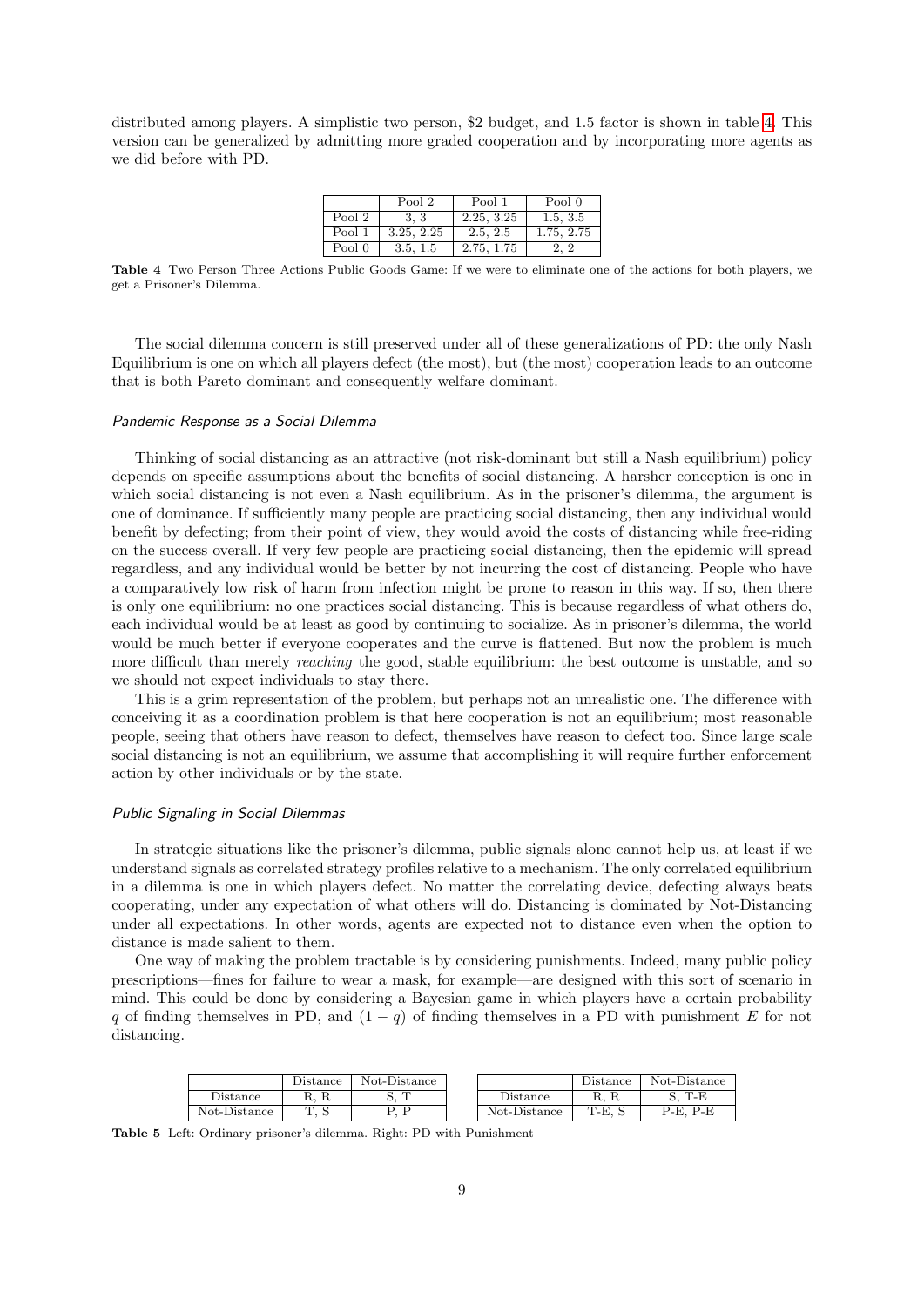distributed among players. A simplistic two person, \$2 budget, and 1.5 factor is shown in table [4.](#page-8-0) This version can be generalized by admitting more graded cooperation and by incorporating more agents as we did before with PD.

|        | Pool 2     | Pool 1     | Pool 0     |
|--------|------------|------------|------------|
| Pool 2 | 3.3        | 2.25, 3.25 | 1.5, 3.5   |
| Pool 1 | 3.25, 2.25 | 2.5, 2.5   | 1.75, 2.75 |
| Pool 0 | 3.5, 1.5   | 2.75, 1.75 | 2, 2       |

<span id="page-8-0"></span>Table 4 Two Person Three Actions Public Goods Game: If we were to eliminate one of the actions for both players, we get a Prisoner's Dilemma.

The social dilemma concern is still preserved under all of these generalizations of PD: the only Nash Equilibrium is one on which all players defect (the most), but (the most) cooperation leads to an outcome that is both Pareto dominant and consequently welfare dominant.

#### Pandemic Response as a Social Dilemma

Thinking of social distancing as an attractive (not risk-dominant but still a Nash equilibrium) policy depends on specific assumptions about the benefits of social distancing. A harsher conception is one in which social distancing is not even a Nash equilibrium. As in the prisoner's dilemma, the argument is one of dominance. If sufficiently many people are practicing social distancing, then any individual would benefit by defecting; from their point of view, they would avoid the costs of distancing while free-riding on the success overall. If very few people are practicing social distancing, then the epidemic will spread regardless, and any individual would be better by not incurring the cost of distancing. People who have a comparatively low risk of harm from infection might be prone to reason in this way. If so, then there is only one equilibrium: no one practices social distancing. This is because regardless of what others do, each individual would be at least as good by continuing to socialize. As in prisoner's dilemma, the world would be much better if everyone cooperates and the curve is flattened. But now the problem is much more difficult than merely reaching the good, stable equilibrium: the best outcome is unstable, and so we should not expect individuals to stay there.

This is a grim representation of the problem, but perhaps not an unrealistic one. The difference with conceiving it as a coordination problem is that here cooperation is not an equilibrium; most reasonable people, seeing that others have reason to defect, themselves have reason to defect too. Since large scale social distancing is not an equilibrium, we assume that accomplishing it will require further enforcement action by other individuals or by the state.

#### Public Signaling in Social Dilemmas

In strategic situations like the prisoner's dilemma, public signals alone cannot help us, at least if we understand signals as correlated strategy profiles relative to a mechanism. The only correlated equilibrium in a dilemma is one in which players defect. No matter the correlating device, defecting always beats cooperating, under any expectation of what others will do. Distancing is dominated by Not-Distancing under all expectations. In other words, agents are expected not to distance even when the option to distance is made salient to them.

One way of making the problem tractable is by considering punishments. Indeed, many public policy prescriptions—fines for failure to wear a mask, for example—are designed with this sort of scenario in mind. This could be done by considering a Bayesian game in which players have a certain probability q of finding themselves in PD, and  $(1 - q)$  of finding themselves in a PD with punishment E for not distancing.

<span id="page-8-1"></span>

|              | $_{\rm Jistance}$ | Not-Distance |                        | Jistance | Not-Distance |
|--------------|-------------------|--------------|------------------------|----------|--------------|
| $D$ istance  | 16. IL            | m            | ${\mathcal Y}$ istance | π.       | T-E<br>້     |
| Not-Distance | T<br>∼<br>ᅩ       |              | Not-Distance           | T-E,     | P-F<br>P-E.  |

Table 5 Left: Ordinary prisoner's dilemma. Right: PD with Punishment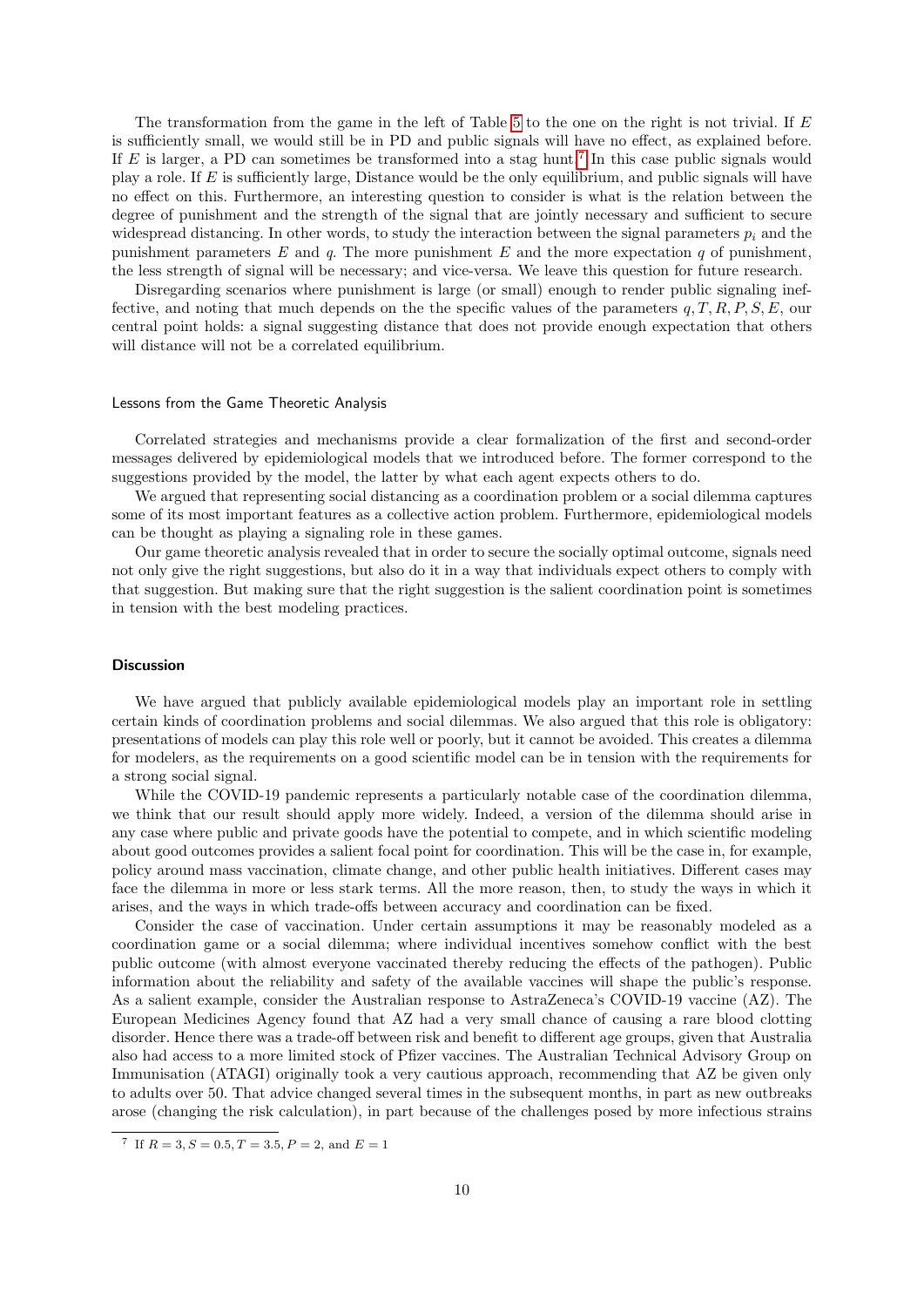The transformation from the game in the left of Table [5](#page-8-1) to the one on the right is not trivial. If E is sufficiently small, we would still be in PD and public signals will have no effect, as explained before. If  $E$  is larger, a PD can sometimes be transformed into a stag hunt.<sup>[7](#page-9-0)</sup> In this case public signals would play a role. If E is sufficiently large, Distance would be the only equilibrium, and public signals will have no effect on this. Furthermore, an interesting question to consider is what is the relation between the degree of punishment and the strength of the signal that are jointly necessary and sufficient to secure widespread distancing. In other words, to study the interaction between the signal parameters  $p_i$  and the punishment parameters  $E$  and  $q$ . The more punishment  $E$  and the more expectation  $q$  of punishment, the less strength of signal will be necessary; and vice-versa. We leave this question for future research.

Disregarding scenarios where punishment is large (or small) enough to render public signaling ineffective, and noting that much depends on the the specific values of the parameters  $q, T, R, P, S, E$ , our central point holds: a signal suggesting distance that does not provide enough expectation that others will distance will not be a correlated equilibrium.

#### Lessons from the Game Theoretic Analysis

Correlated strategies and mechanisms provide a clear formalization of the first and second-order messages delivered by epidemiological models that we introduced before. The former correspond to the suggestions provided by the model, the latter by what each agent expects others to do.

We argued that representing social distancing as a coordination problem or a social dilemma captures some of its most important features as a collective action problem. Furthermore, epidemiological models can be thought as playing a signaling role in these games.

Our game theoretic analysis revealed that in order to secure the socially optimal outcome, signals need not only give the right suggestions, but also do it in a way that individuals expect others to comply with that suggestion. But making sure that the right suggestion is the salient coordination point is sometimes in tension with the best modeling practices.

#### **Discussion**

We have argued that publicly available epidemiological models play an important role in settling certain kinds of coordination problems and social dilemmas. We also argued that this role is obligatory: presentations of models can play this role well or poorly, but it cannot be avoided. This creates a dilemma for modelers, as the requirements on a good scientific model can be in tension with the requirements for a strong social signal.

While the COVID-19 pandemic represents a particularly notable case of the coordination dilemma, we think that our result should apply more widely. Indeed, a version of the dilemma should arise in any case where public and private goods have the potential to compete, and in which scientific modeling about good outcomes provides a salient focal point for coordination. This will be the case in, for example, policy around mass vaccination, climate change, and other public health initiatives. Different cases may face the dilemma in more or less stark terms. All the more reason, then, to study the ways in which it arises, and the ways in which trade-offs between accuracy and coordination can be fixed.

Consider the case of vaccination. Under certain assumptions it may be reasonably modeled as a coordination game or a social dilemma; where individual incentives somehow conflict with the best public outcome (with almost everyone vaccinated thereby reducing the effects of the pathogen). Public information about the reliability and safety of the available vaccines will shape the public's response. As a salient example, consider the Australian response to AstraZeneca's COVID-19 vaccine (AZ). The European Medicines Agency found that AZ had a very small chance of causing a rare blood clotting disorder. Hence there was a trade-off between risk and benefit to different age groups, given that Australia also had access to a more limited stock of Pfizer vaccines. The Australian Technical Advisory Group on Immunisation (ATAGI) originally took a very cautious approach, recommending that AZ be given only to adults over 50. That advice changed several times in the subsequent months, in part as new outbreaks arose (changing the risk calculation), in part because of the challenges posed by more infectious strains

<span id="page-9-0"></span><sup>&</sup>lt;sup>7</sup> If  $R = 3, S = 0.5, T = 3.5, P = 2, \text{ and } E = 1$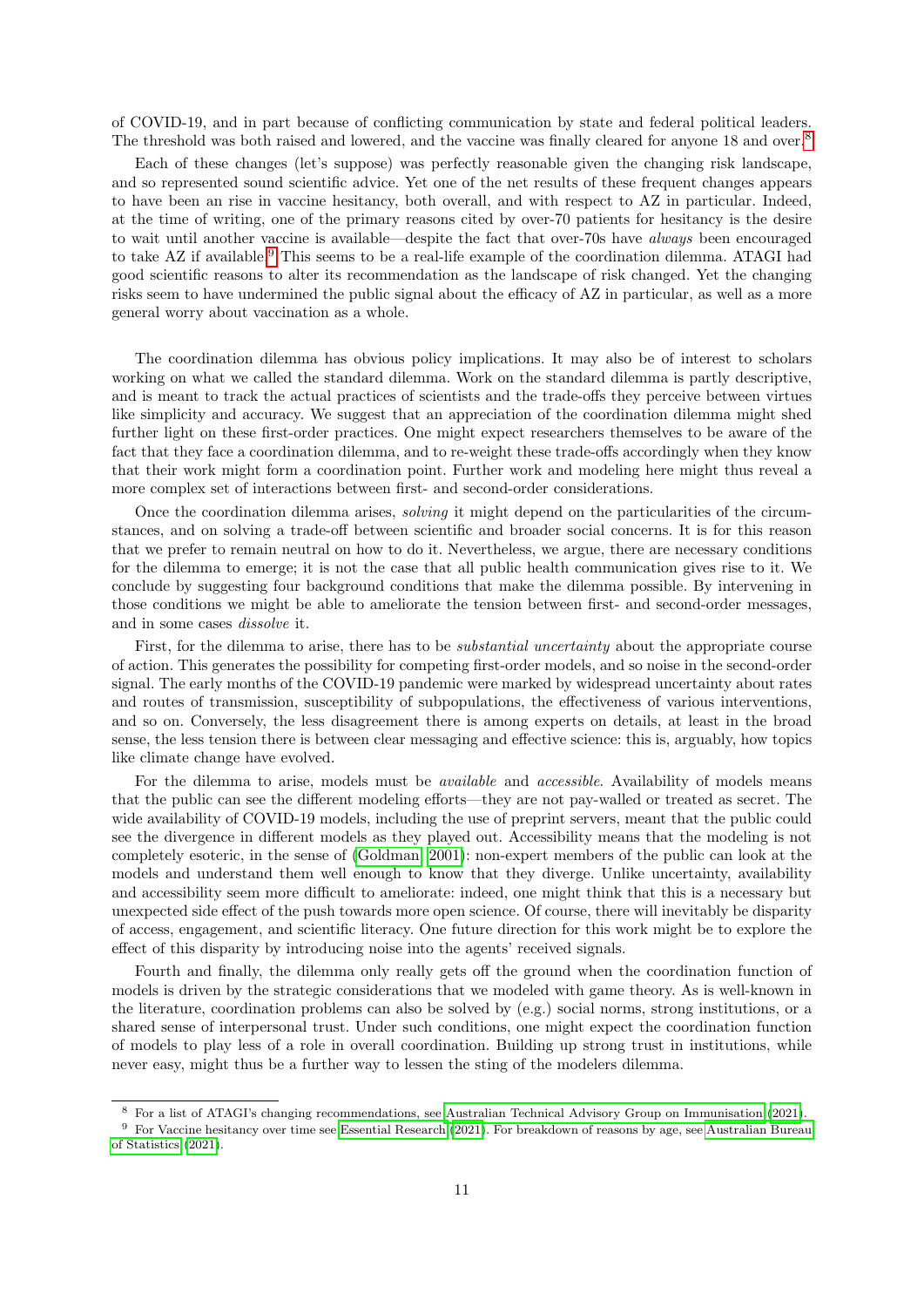of COVID-19, and in part because of conflicting communication by state and federal political leaders. The threshold was both raised and lowered, and the vaccine was finally cleared for anyone 1[8](#page-10-0) and over.<sup>8</sup>

Each of these changes (let's suppose) was perfectly reasonable given the changing risk landscape, and so represented sound scientific advice. Yet one of the net results of these frequent changes appears to have been an rise in vaccine hesitancy, both overall, and with respect to AZ in particular. Indeed, at the time of writing, one of the primary reasons cited by over-70 patients for hesitancy is the desire to wait until another vaccine is available—despite the fact that over-70s have always been encouraged to take AZ if available.<sup>[9](#page-10-1)</sup> This seems to be a real-life example of the coordination dilemma. ATAGI had good scientific reasons to alter its recommendation as the landscape of risk changed. Yet the changing risks seem to have undermined the public signal about the efficacy of AZ in particular, as well as a more general worry about vaccination as a whole.

The coordination dilemma has obvious policy implications. It may also be of interest to scholars working on what we called the standard dilemma. Work on the standard dilemma is partly descriptive, and is meant to track the actual practices of scientists and the trade-offs they perceive between virtues like simplicity and accuracy. We suggest that an appreciation of the coordination dilemma might shed further light on these first-order practices. One might expect researchers themselves to be aware of the fact that they face a coordination dilemma, and to re-weight these trade-offs accordingly when they know that their work might form a coordination point. Further work and modeling here might thus reveal a more complex set of interactions between first- and second-order considerations.

Once the coordination dilemma arises, solving it might depend on the particularities of the circumstances, and on solving a trade-off between scientific and broader social concerns. It is for this reason that we prefer to remain neutral on how to do it. Nevertheless, we argue, there are necessary conditions for the dilemma to emerge; it is not the case that all public health communication gives rise to it. We conclude by suggesting four background conditions that make the dilemma possible. By intervening in those conditions we might be able to ameliorate the tension between first- and second-order messages, and in some cases dissolve it.

First, for the dilemma to arise, there has to be *substantial uncertainty* about the appropriate course of action. This generates the possibility for competing first-order models, and so noise in the second-order signal. The early months of the COVID-19 pandemic were marked by widespread uncertainty about rates and routes of transmission, susceptibility of subpopulations, the effectiveness of various interventions, and so on. Conversely, the less disagreement there is among experts on details, at least in the broad sense, the less tension there is between clear messaging and effective science: this is, arguably, how topics like climate change have evolved.

For the dilemma to arise, models must be *available* and *accessible*. Availability of models means that the public can see the different modeling efforts—they are not pay-walled or treated as secret. The wide availability of COVID-19 models, including the use of preprint servers, meant that the public could see the divergence in different models as they played out. Accessibility means that the modeling is not completely esoteric, in the sense of [\(Goldman, 2001\)](#page-11-16): non-expert members of the public can look at the models and understand them well enough to know that they diverge. Unlike uncertainty, availability and accessibility seem more difficult to ameliorate: indeed, one might think that this is a necessary but unexpected side effect of the push towards more open science. Of course, there will inevitably be disparity of access, engagement, and scientific literacy. One future direction for this work might be to explore the effect of this disparity by introducing noise into the agents' received signals.

Fourth and finally, the dilemma only really gets off the ground when the coordination function of models is driven by the strategic considerations that we modeled with game theory. As is well-known in the literature, coordination problems can also be solved by (e.g.) social norms, strong institutions, or a shared sense of interpersonal trust. Under such conditions, one might expect the coordination function of models to play less of a role in overall coordination. Building up strong trust in institutions, while never easy, might thus be a further way to lessen the sting of the modelers dilemma.

<span id="page-10-1"></span><span id="page-10-0"></span><sup>8</sup> For a list of ATAGI's changing recommendations, see [Australian Technical Advisory Group on Immunisation](#page-11-17) [\(2021\)](#page-11-17).

<sup>9</sup> For Vaccine hesitancy over time see [Essential Research](#page-11-18) [\(2021\)](#page-11-18). For breakdown of reasons by age, see [Australian Bureau](#page-11-19) [of Statistics](#page-11-19) [\(2021\)](#page-11-19).